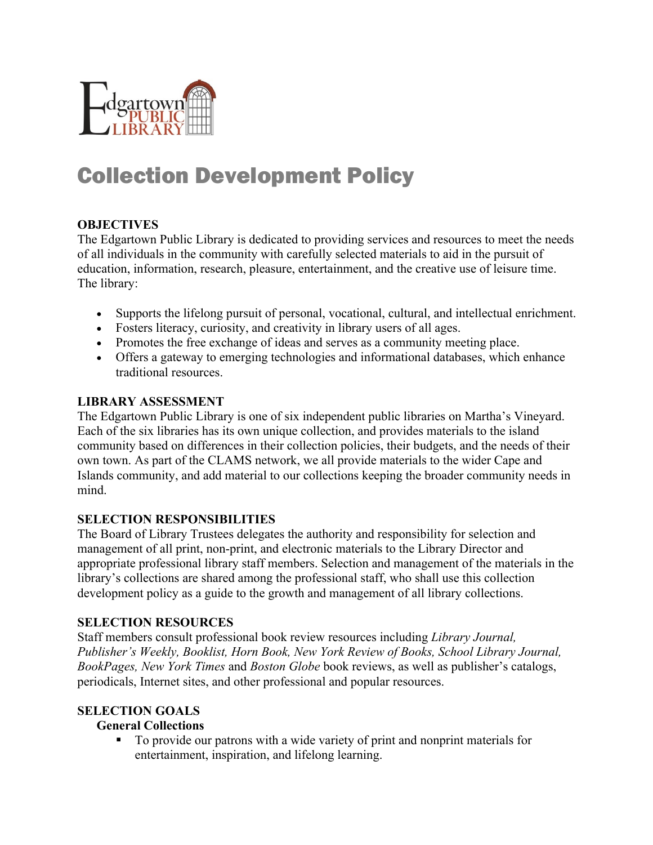

# Collection Development Policy

## **OBJECTIVES**

The Edgartown Public Library is dedicated to providing services and resources to meet the needs of all individuals in the community with carefully selected materials to aid in the pursuit of education, information, research, pleasure, entertainment, and the creative use of leisure time. The library:

- Supports the lifelong pursuit of personal, vocational, cultural, and intellectual enrichment.
- Fosters literacy, curiosity, and creativity in library users of all ages.
- Promotes the free exchange of ideas and serves as a community meeting place.
- Offers a gateway to emerging technologies and informational databases, which enhance traditional resources.

#### **LIBRARY ASSESSMENT**

The Edgartown Public Library is one of six independent public libraries on Martha's Vineyard. Each of the six libraries has its own unique collection, and provides materials to the island community based on differences in their collection policies, their budgets, and the needs of their own town. As part of the CLAMS network, we all provide materials to the wider Cape and Islands community, and add material to our collections keeping the broader community needs in mind.

## **SELECTION RESPONSIBILITIES**

The Board of Library Trustees delegates the authority and responsibility for selection and management of all print, non-print, and electronic materials to the Library Director and appropriate professional library staff members. Selection and management of the materials in the library's collections are shared among the professional staff, who shall use this collection development policy as a guide to the growth and management of all library collections.

#### **SELECTION RESOURCES**

Staff members consult professional book review resources including *Library Journal, Publisher's Weekly, Booklist, Horn Book, New York Review of Books, School Library Journal, BookPages, New York Times* and *Boston Globe* book reviews, as well as publisher's catalogs, periodicals, Internet sites, and other professional and popular resources.

#### **SELECTION GOALS**

#### **General Collections**

§ To provide our patrons with a wide variety of print and nonprint materials for entertainment, inspiration, and lifelong learning.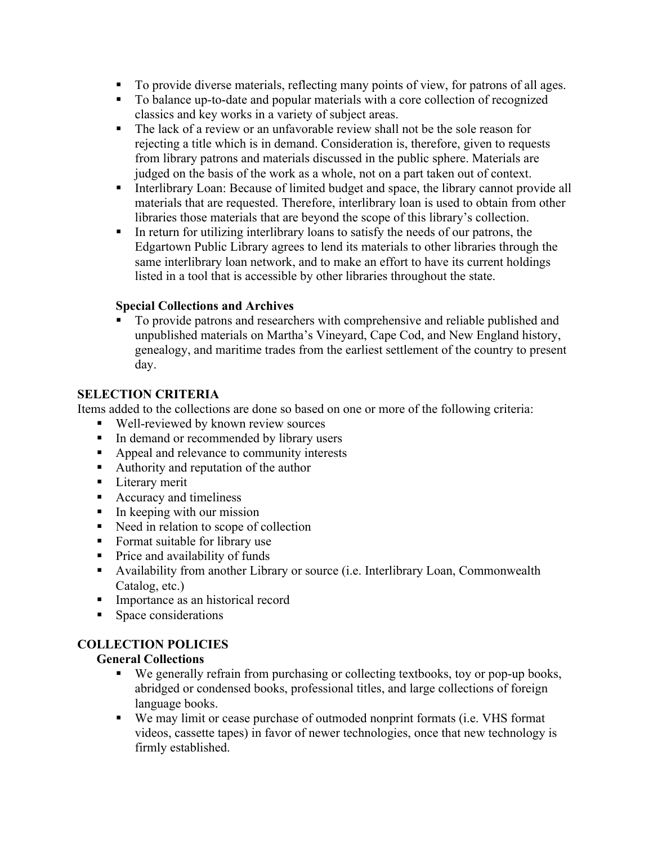- To provide diverse materials, reflecting many points of view, for patrons of all ages.
- To balance up-to-date and popular materials with a core collection of recognized classics and key works in a variety of subject areas.
- The lack of a review or an unfavorable review shall not be the sole reason for rejecting a title which is in demand. Consideration is, therefore, given to requests from library patrons and materials discussed in the public sphere. Materials are judged on the basis of the work as a whole, not on a part taken out of context.
- Interlibrary Loan: Because of limited budget and space, the library cannot provide all materials that are requested. Therefore, interlibrary loan is used to obtain from other libraries those materials that are beyond the scope of this library's collection.
- In return for utilizing interlibrary loans to satisfy the needs of our patrons, the Edgartown Public Library agrees to lend its materials to other libraries through the same interlibrary loan network, and to make an effort to have its current holdings listed in a tool that is accessible by other libraries throughout the state.

# **Special Collections and Archives**

§ To provide patrons and researchers with comprehensive and reliable published and unpublished materials on Martha's Vineyard, Cape Cod, and New England history, genealogy, and maritime trades from the earliest settlement of the country to present day.

# **SELECTION CRITERIA**

Items added to the collections are done so based on one or more of the following criteria:

- Well-reviewed by known review sources
- In demand or recommended by library users
- Appeal and relevance to community interests
- Authority and reputation of the author
- Literary merit
- Accuracy and timeliness
- In keeping with our mission
- Need in relation to scope of collection
- Format suitable for library use
- Price and availability of funds
- § Availability from another Library or source (i.e. Interlibrary Loan, Commonwealth Catalog, etc.)
- Importance as an historical record
- Space considerations

# **COLLECTION POLICIES**

## **General Collections**

- We generally refrain from purchasing or collecting textbooks, toy or pop-up books, abridged or condensed books, professional titles, and large collections of foreign language books.
- § We may limit or cease purchase of outmoded nonprint formats (i.e. VHS format videos, cassette tapes) in favor of newer technologies, once that new technology is firmly established.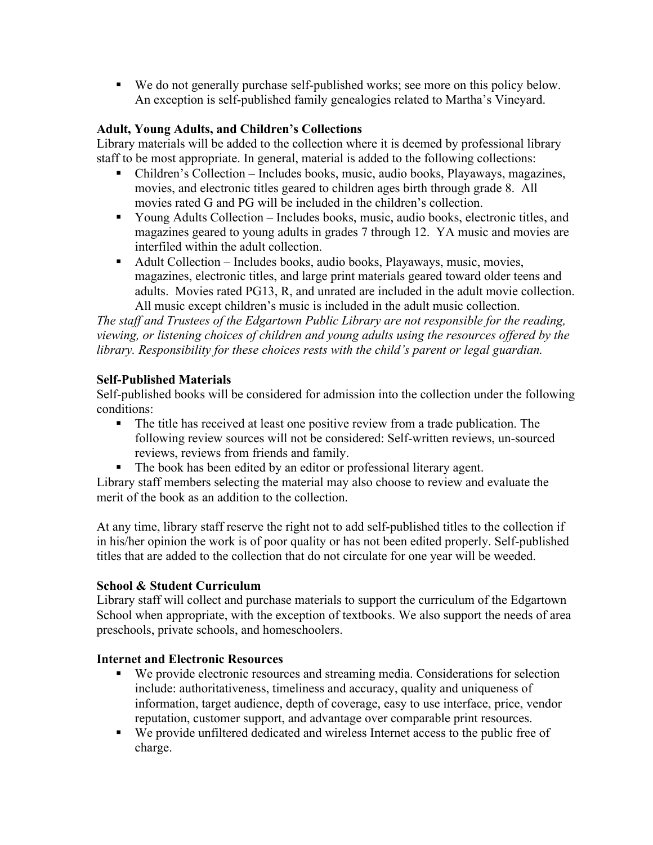■ We do not generally purchase self-published works; see more on this policy below. An exception is self-published family genealogies related to Martha's Vineyard.

# **Adult, Young Adults, and Children's Collections**

Library materials will be added to the collection where it is deemed by professional library staff to be most appropriate. In general, material is added to the following collections:

- Children's Collection Includes books, music, audio books, Playaways, magazines, movies, and electronic titles geared to children ages birth through grade 8. All movies rated G and PG will be included in the children's collection.
- Young Adults Collection Includes books, music, audio books, electronic titles, and magazines geared to young adults in grades 7 through 12. YA music and movies are interfiled within the adult collection.
- Adult Collection Includes books, audio books, Playaways, music, movies, magazines, electronic titles, and large print materials geared toward older teens and adults. Movies rated PG13, R, and unrated are included in the adult movie collection. All music except children's music is included in the adult music collection.

*The staff and Trustees of the Edgartown Public Library are not responsible for the reading, viewing, or listening choices of children and young adults using the resources offered by the library. Responsibility for these choices rests with the child's parent or legal guardian.*

## **Self-Published Materials**

Self-published books will be considered for admission into the collection under the following conditions:

- The title has received at least one positive review from a trade publication. The following review sources will not be considered: Self-written reviews, un-sourced reviews, reviews from friends and family.
- The book has been edited by an editor or professional literary agent.

Library staff members selecting the material may also choose to review and evaluate the merit of the book as an addition to the collection.

At any time, library staff reserve the right not to add self-published titles to the collection if in his/her opinion the work is of poor quality or has not been edited properly. Self-published titles that are added to the collection that do not circulate for one year will be weeded.

## **School & Student Curriculum**

Library staff will collect and purchase materials to support the curriculum of the Edgartown School when appropriate, with the exception of textbooks. We also support the needs of area preschools, private schools, and homeschoolers.

## **Internet and Electronic Resources**

- We provide electronic resources and streaming media. Considerations for selection include: authoritativeness, timeliness and accuracy, quality and uniqueness of information, target audience, depth of coverage, easy to use interface, price, vendor reputation, customer support, and advantage over comparable print resources.
- We provide unfiltered dedicated and wireless Internet access to the public free of charge.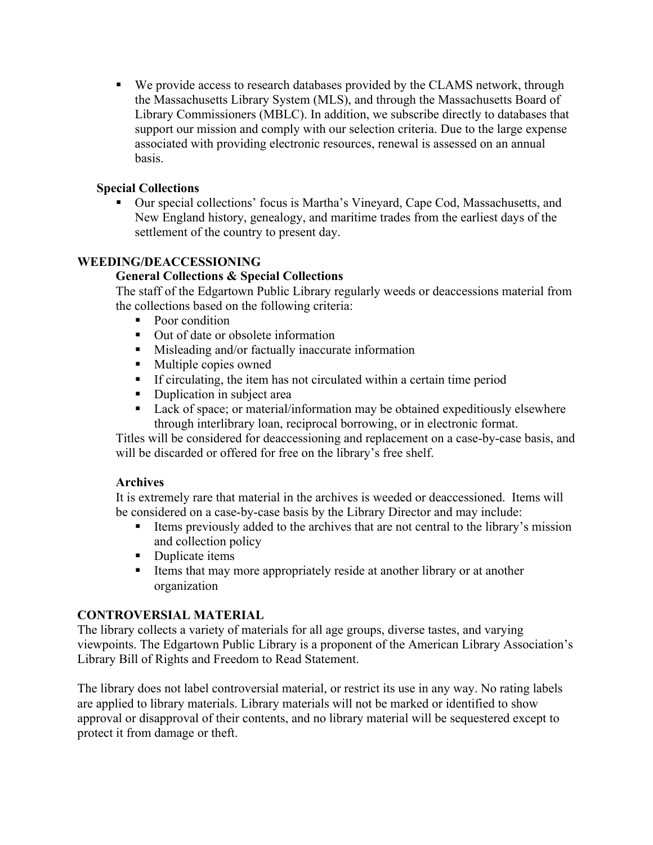■ We provide access to research databases provided by the CLAMS network, through the Massachusetts Library System (MLS), and through the Massachusetts Board of Library Commissioners (MBLC). In addition, we subscribe directly to databases that support our mission and comply with our selection criteria. Due to the large expense associated with providing electronic resources, renewal is assessed on an annual basis.

## **Special Collections**

■ Our special collections' focus is Martha's Vineyard, Cape Cod, Massachusetts, and New England history, genealogy, and maritime trades from the earliest days of the settlement of the country to present day.

# **WEEDING/DEACCESSIONING**

## **General Collections & Special Collections**

The staff of the Edgartown Public Library regularly weeds or deaccessions material from the collections based on the following criteria:

- Poor condition
- Out of date or obsolete information
- Misleading and/or factually inaccurate information
- Multiple copies owned
- § If circulating, the item has not circulated within a certain time period
- Duplication in subject area
- Lack of space; or material/information may be obtained expeditiously elsewhere through interlibrary loan, reciprocal borrowing, or in electronic format.

Titles will be considered for deaccessioning and replacement on a case-by-case basis, and will be discarded or offered for free on the library's free shelf.

#### **Archives**

It is extremely rare that material in the archives is weeded or deaccessioned. Items will be considered on a case-by-case basis by the Library Director and may include:

- Items previously added to the archives that are not central to the library's mission and collection policy
- Duplicate items
- Items that may more appropriately reside at another library or at another organization

#### **CONTROVERSIAL MATERIAL**

The library collects a variety of materials for all age groups, diverse tastes, and varying viewpoints. The Edgartown Public Library is a proponent of the American Library Association's Library Bill of Rights and Freedom to Read Statement.

The library does not label controversial material, or restrict its use in any way. No rating labels are applied to library materials. Library materials will not be marked or identified to show approval or disapproval of their contents, and no library material will be sequestered except to protect it from damage or theft.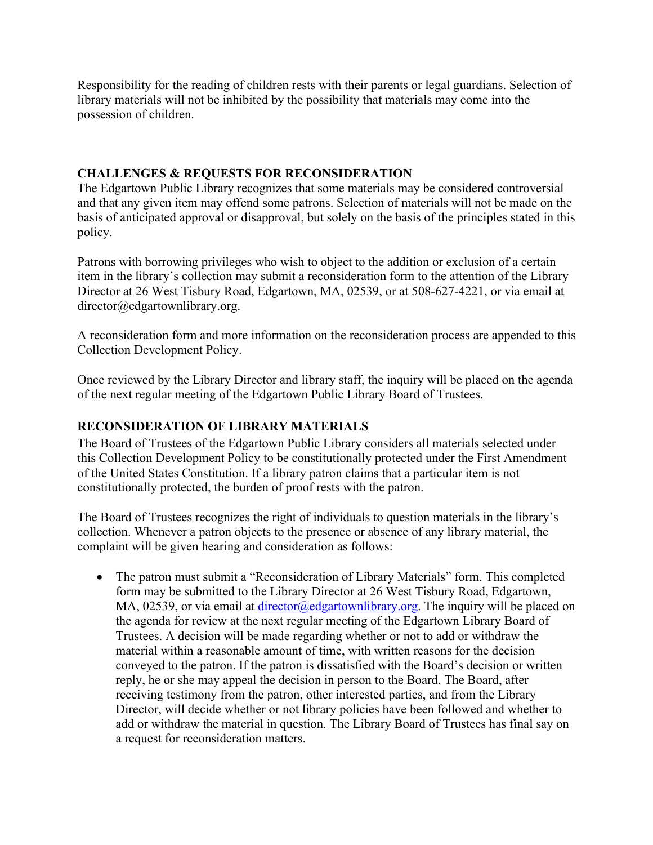Responsibility for the reading of children rests with their parents or legal guardians. Selection of library materials will not be inhibited by the possibility that materials may come into the possession of children.

## **CHALLENGES & REQUESTS FOR RECONSIDERATION**

The Edgartown Public Library recognizes that some materials may be considered controversial and that any given item may offend some patrons. Selection of materials will not be made on the basis of anticipated approval or disapproval, but solely on the basis of the principles stated in this policy.

Patrons with borrowing privileges who wish to object to the addition or exclusion of a certain item in the library's collection may submit a reconsideration form to the attention of the Library Director at 26 West Tisbury Road, Edgartown, MA, 02539, or at 508-627-4221, or via email at director@edgartownlibrary.org.

A reconsideration form and more information on the reconsideration process are appended to this Collection Development Policy.

Once reviewed by the Library Director and library staff, the inquiry will be placed on the agenda of the next regular meeting of the Edgartown Public Library Board of Trustees.

# **RECONSIDERATION OF LIBRARY MATERIALS**

The Board of Trustees of the Edgartown Public Library considers all materials selected under this Collection Development Policy to be constitutionally protected under the First Amendment of the United States Constitution. If a library patron claims that a particular item is not constitutionally protected, the burden of proof rests with the patron.

The Board of Trustees recognizes the right of individuals to question materials in the library's collection. Whenever a patron objects to the presence or absence of any library material, the complaint will be given hearing and consideration as follows:

• The patron must submit a "Reconsideration of Library Materials" form. This completed form may be submitted to the Library Director at 26 West Tisbury Road, Edgartown, MA, 02539, or via email at director@edgartownlibrary.org. The inquiry will be placed on the agenda for review at the next regular meeting of the Edgartown Library Board of Trustees. A decision will be made regarding whether or not to add or withdraw the material within a reasonable amount of time, with written reasons for the decision conveyed to the patron. If the patron is dissatisfied with the Board's decision or written reply, he or she may appeal the decision in person to the Board. The Board, after receiving testimony from the patron, other interested parties, and from the Library Director, will decide whether or not library policies have been followed and whether to add or withdraw the material in question. The Library Board of Trustees has final say on a request for reconsideration matters.